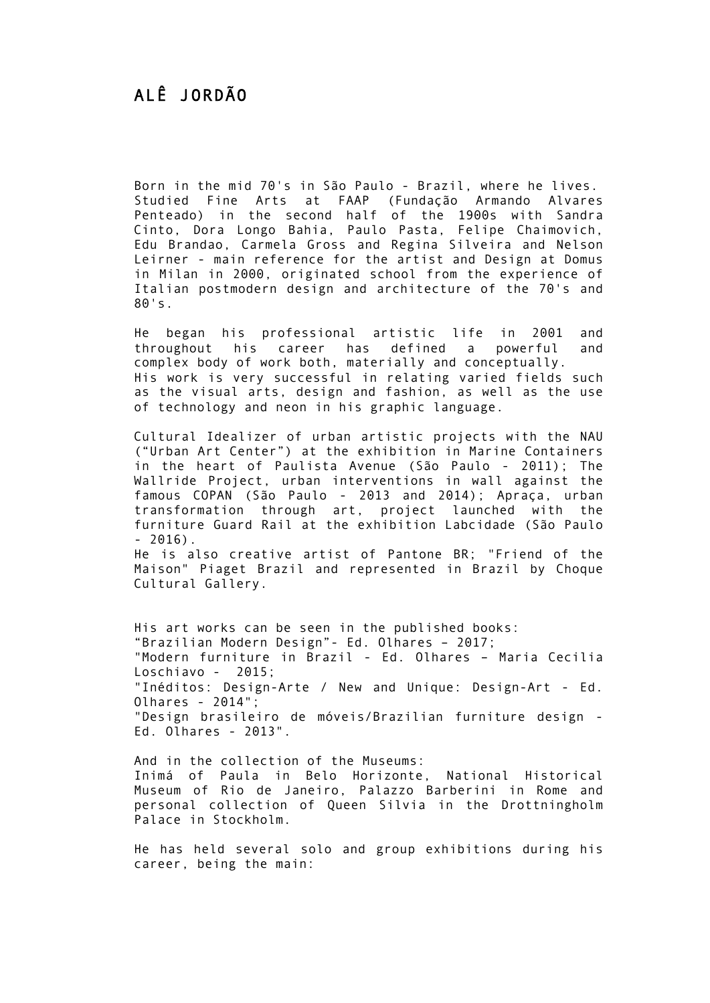Born in the mid 70's in São Paulo - Brazil, where he lives. Studied Fine Arts at FAAP (Fundação Armando Alvares Penteado) in the second half of the 1900s with Sandra Cinto, Dora Longo Bahia, Paulo Pasta, Felipe Chaimovich, Edu Brandao, Carmela Gross and Regina Silveira and Nelson Leirner - main reference for the artist and Design at Domus in Milan in 2000, originated school from the experience of Italian postmodern design and architecture of the 70's and 80's.

He began his professional artistic life in 2001 and throughout his career has defined a powerful and complex body of work both, materially and conceptually. His work is very successful in relating varied fields such as the visual arts, design and fashion, as well as the use of technology and neon in his graphic language.

Cultural Idealizer of urban artistic projects with the NAU ("Urban Art Center") at the exhibition in Marine Containers in the heart of Paulista Avenue (São Paulo - 2011); The Wallride Project, urban interventions in wall against the famous COPAN (São Paulo - 2013 and 2014); Apraça, urban transformation through art, project launched with the furniture Guard Rail at the exhibition Labcidade (São Paulo  $-2016$ .

He is also creative artist of Pantone BR; "Friend of the Maison" Piaget Brazil and represented in Brazil by Choque Cultural Gallery.

His art works can be seen in the published books: "Brazilian Modern Design"- Ed. Olhares – 2017; "Modern furniture in Brazil - Ed. Olhares – Maria Cecilia Loschiavo - 2015; "Inéditos: Design-Arte / New and Unique: Design-Art - Ed. Olhares - 2014"; "Design brasileiro de móveis/Brazilian furniture design - Ed. Olhares - 2013".

And in the collection of the Museums: Inimá of Paula in Belo Horizonte, National Historical Museum of Rio de Janeiro, Palazzo Barberini in Rome and personal collection of Queen Silvia in the Drottningholm Palace in Stockholm.

He has held several solo and group exhibitions during his career, being the main: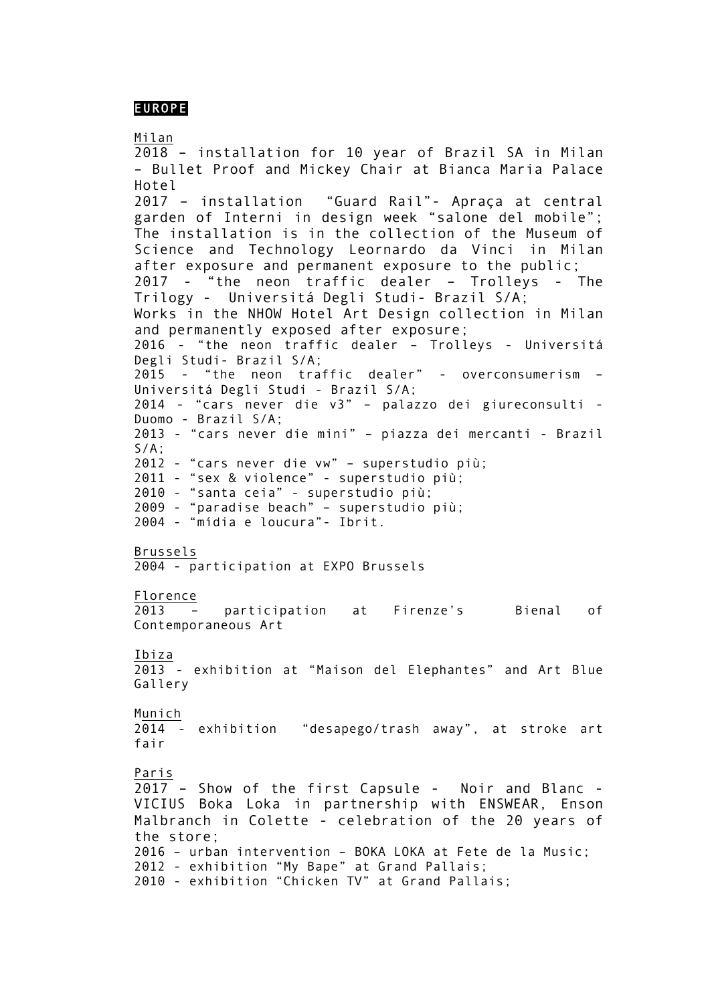## EUROPE

Milan

2018 – installation for 10 year of Brazil SA in Milan – Bullet Proof and Mickey Chair at Bianca Maria Palace Hotel 2017 – installation "Guard Rail"- Apraça at central garden of Interni in design week "salone del mobile"; The installation is in the collection of the Museum of Science and Technology Leornardo da Vinci in Milan after exposure and permanent exposure to the public; 2017 - "the neon traffic dealer – Trolleys - The Trilogy - Universitá Degli Studi- Brazil S/A; Works in the NHOW Hotel Art Design collection in Milan and permanently exposed after exposure; 2016 - "the neon traffic dealer – Trolleys - Universitá Degli Studi- Brazil S/A; 2015 - "the neon traffic dealer" - overconsumerism – Universitá Degli Studi - Brazil S/A; 2014 - "cars never die v3" – palazzo dei giureconsulti - Duomo - Brazil S/A; 2013 - "cars never die mini" – piazza dei mercanti - Brazil S/A; 2012 - "cars never die vw" – superstudio più; 2011 - "sex & violence" - superstudio più; 2010 - "santa ceia" - superstudio più; 2009 - "paradise beach" – superstudio più; 2004 - "mídia e loucura"- Ibrit. Brussels 2004 - participation at EXPO Brussels Florence<br>2013 -2013 – participation at Firenze's Bienal of Contemporaneous Art Ibiza 2013 - exhibition at "Maison del Elephantes" and Art Blue Gallery Munich 2014 - exhibition "desapego/trash away", at stroke art fair Paris 2017 – Show of the first Capsule - Noir and Blanc - VICIUS Boka Loka in partnership with ENSWEAR, Enson Malbranch in Colette - celebration of the 20 years of the store; 2016 – urban intervention – BOKA LOKA at Fete de la Music; 2012 - exhibition "My Bape" at Grand Pallais; 2010 - exhibition "Chicken TV" at Grand Pallais;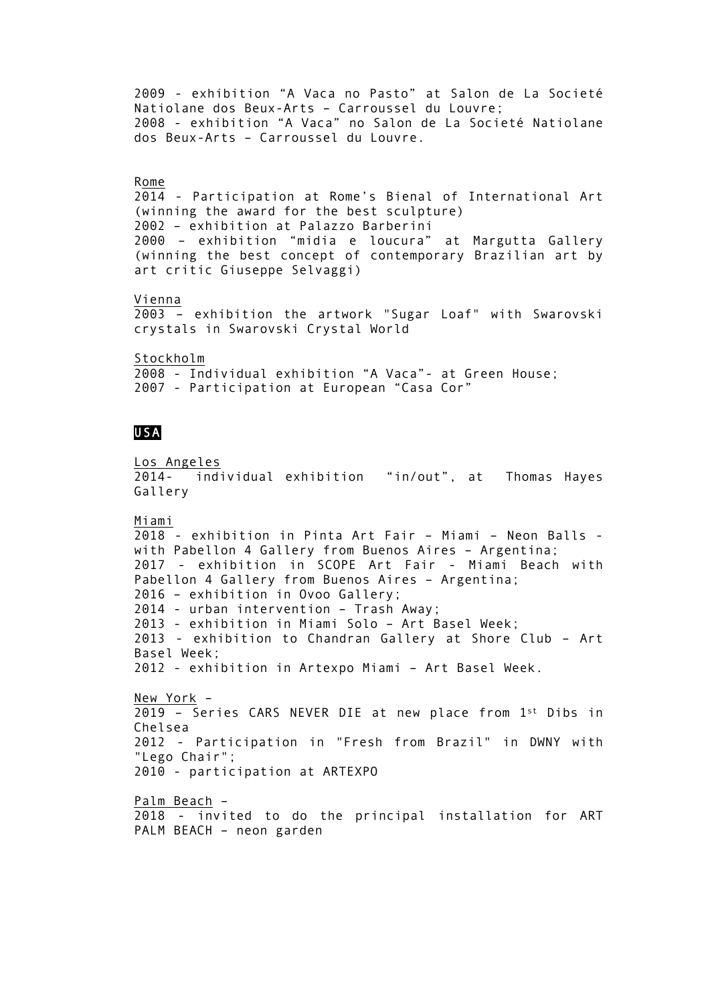2009 - exhibition "A Vaca no Pasto" at Salon de La Societé Natiolane dos Beux-Arts – Carroussel du Louvre; 2008 - exhibition "A Vaca" no Salon de La Societé Natiolane dos Beux-Arts – Carroussel du Louvre. Rome 2014 - Participation at Rome's Bienal of International Art (winning the award for the best sculpture) 2002 – exhibition at Palazzo Barberini 2000 – exhibition "midia e loucura" at Margutta Gallery (winning the best concept of contemporary Brazilian art by art critic Giuseppe Selvaggi) Vienna 2003 – exhibition the artwork "Sugar Loaf" with Swarovski crystals in Swarovski Crystal World Stockholm 2008 - Individual exhibition "A Vaca"- at Green House; 2007 - Participation at European "Casa Cor" USA Los Angeles 2014- individual exhibition "in/out", at Thomas Hayes Gallery Miami 2018 - exhibition in Pinta Art Fair – Miami – Neon Balls with Pabellon 4 Gallery from Buenos Aires – Argentina; 2017 - exhibition in SCOPE Art Fair - Miami Beach with Pabellon 4 Gallery from Buenos Aires – Argentina; 2016 – exhibition in Ovoo Gallery; 2014 - urban intervention – Trash Away; 2013 - exhibition in Miami Solo – Art Basel Week; 2013 - exhibition to Chandran Gallery at Shore Club – Art Basel Week; 2012 - exhibition in Artexpo Miami – Art Basel Week. New York – 2019 – Series CARS NEVER DIE at new place from 1st Dibs in Chelsea 2012 - Participation in "Fresh from Brazil" in DWNY with "Lego Chair"; 2010 - participation at ARTEXPO

Palm Beach –

2018 - invited to do the principal installation for ART PALM BEACH – neon garden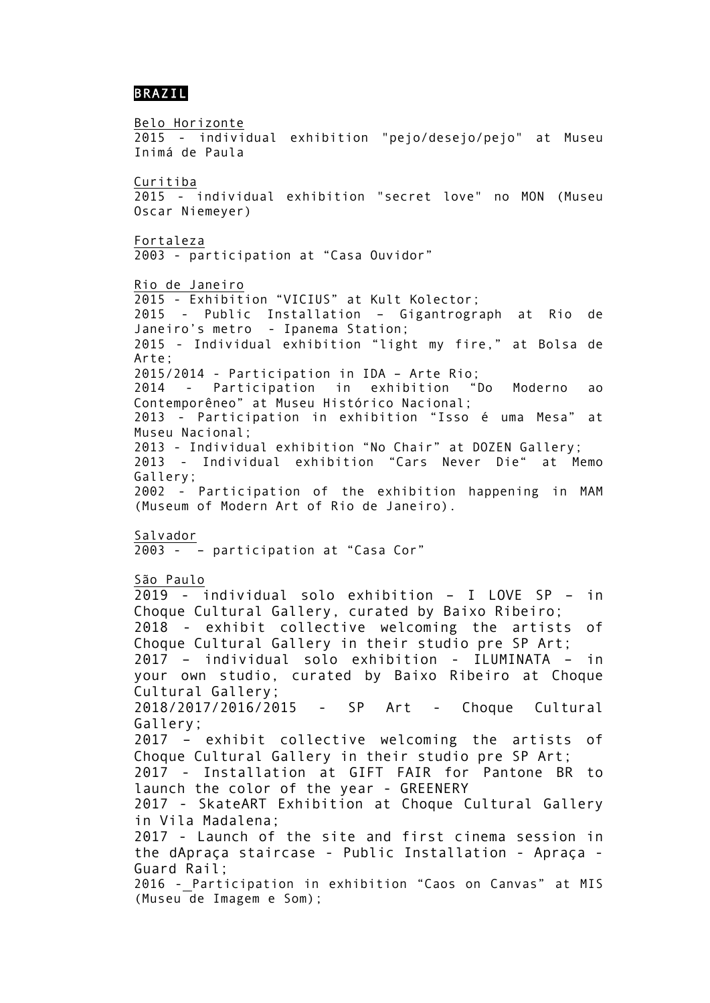## BRAZIL

Belo Horizonte 2015 - individual exhibition "pejo/desejo/pejo" at Museu Inimá de Paula Curitiba 2015 - individual exhibition "secret love" no MON (Museu Oscar Niemeyer) Fortaleza 2003 - participation at "Casa Ouvidor" Rio de Janeiro 2015 - Exhibition "VICIUS" at Kult Kolector; 2015 - Public Installation – Gigantrograph at Rio de Janeiro's metro - Ipanema Station; 2015 - Individual exhibition "light my fire," at Bolsa de Arte; 2015/2014 - Participation in IDA – Arte Rio; 2014 - Participation in exhibition "Do Moderno ao Contemporêneo" at Museu Histórico Nacional; 2013 - Participation in exhibition "Isso é uma Mesa" at Museu Nacional; 2013 - Individual exhibition "No Chair" at DOZEN Gallery; 2013 - Individual exhibition "Cars Never Die" at Memo Gallery; 2002 - Participation of the exhibition happening in MAM (Museum of Modern Art of Rio de Janeiro). Salvador 2003 - – participation at "Casa Cor" São Paulo 2019 - individual solo exhibition – I LOVE SP – in Choque Cultural Gallery, curated by Baixo Ribeiro; 2018 - exhibit collective welcoming the artists of Choque Cultural Gallery in their studio pre SP Art; 2017 – individual solo exhibition - ILUMINATA – in your own studio, curated by Baixo Ribeiro at Choque Cultural Gallery; 2018/2017/2016/2015 - SP Art - Choque Cultural Gallery; 2017 – exhibit collective welcoming the artists of Choque Cultural Gallery in their studio pre SP Art; 2017 - Installation at GIFT FAIR for Pantone BR to launch the color of the year - GREENERY 2017 - SkateART Exhibition at Choque Cultural Gallery in Vila Madalena; 2017 - Launch of the site and first cinema session in the dApraça staircase - Public Installation - Apraça - Guard Rail;

2016 - Participation in exhibition "Caos on Canvas" at MIS (Museu de Imagem e Som);